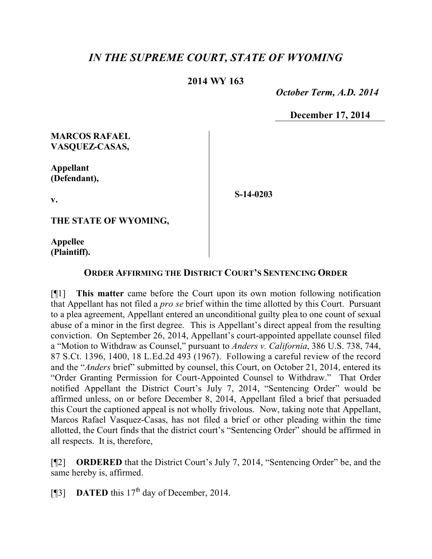# *IN THE SUPREME COURT, STATE OF WYOMING*

### **2014 WY 163**

 *October Term, A.D. 2014*

**December 17, 2014**

### **MARCOS RAFAEL VASQUEZ-CASAS,**

**Appellant (Defendant),**

**S-14-0203**

**THE STATE OF WYOMING,**

**Appellee (Plaintiff).**

**v.**

#### **ORDER AFFIRMING THE DISTRICT COURT'S SENTENCING ORDER**

[¶1] **This matter** came before the Court upon its own motion following notification that Appellant has not filed a *pro se* brief within the time allotted by this Court. Pursuant to a plea agreement, Appellant entered an unconditional guilty plea to one count of sexual abuse of a minor in the first degree. This is Appellant's direct appeal from the resulting conviction. On September 26, 2014, Appellant's court-appointed appellate counsel filed a "Motion to Withdraw as Counsel," pursuant to *Anders v. California*, 386 U.S. 738, 744, 87 S.Ct. 1396, 1400, 18 L.Ed.2d 493 (1967). Following a careful review of the record and the "*Anders* brief" submitted by counsel, this Court, on October 21, 2014, entered its "Order Granting Permission for Court-Appointed Counsel to Withdraw." That Order notified Appellant the District Court's July 7, 2014, "Sentencing Order" would be affirmed unless, on or before December 8, 2014, Appellant filed a brief that persuaded this Court the captioned appeal is not wholly frivolous. Now, taking note that Appellant, Marcos Rafael Vasquez-Casas, has not filed a brief or other pleading within the time allotted, the Court finds that the district court's "Sentencing Order" should be affirmed in all respects. It is, therefore,

[¶2] **ORDERED** that the District Court's July 7, 2014, "Sentencing Order" be, and the same hereby is, affirmed.

[ $[$ ] **DATED** this  $17<sup>th</sup>$  day of December, 2014.